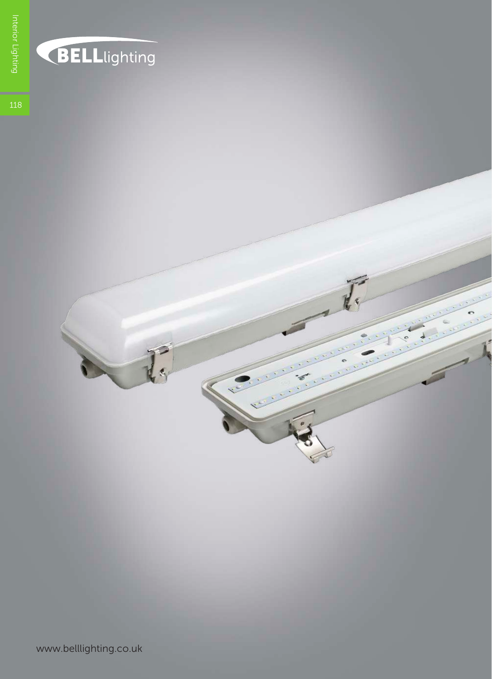

## BELLlighting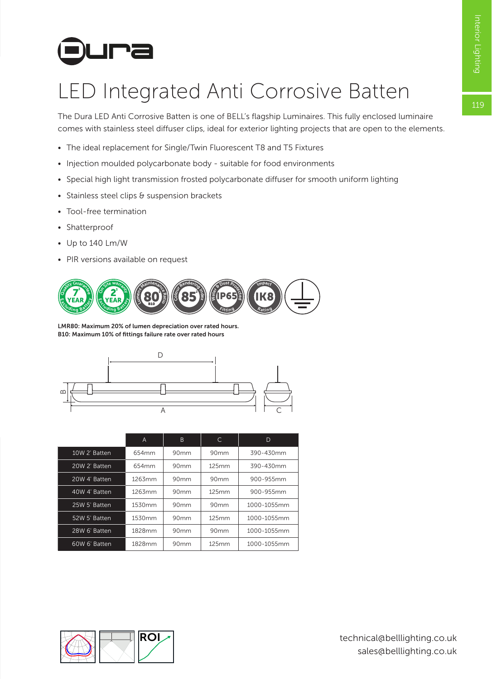# **Dura**

## LED Integrated Anti Corrosive Batten

The Dura LED Anti Corrosive Batten is one of BELL's flagship Luminaires. This fully enclosed luminaire comes with stainless steel diffuser clips, ideal for exterior lighting projects that are open to the elements.

- The ideal replacement for Single/Twin Fluorescent T8 and T5 Fixtures
- Injection moulded polycarbonate body suitable for food environments
- Special high light transmission frosted polycarbonate diffuser for smooth uniform lighting
- Stainless steel clips & suspension brackets
- Tool-free termination
- Shatterproof
- Up to 140 Lm/W
- PIR versions available on request



LMR80: Maximum 20% of lumen depreciation over rated hours. B10: Maximum 10% of fittings failure rate over rated hours



|               | A      | B                | C     | D           |  |  |
|---------------|--------|------------------|-------|-------------|--|--|
| 10W 2' Batten | 654mm  | 90mm             | 90mm  | 390-430mm   |  |  |
| 20W 2' Batten | 654mm  | 90mm             | 125mm | 390-430mm   |  |  |
| 20W 4' Batten | 1263mm | 90mm             | 90mm  | 900-955mm   |  |  |
| 40W 4' Batten | 1263mm | 90 <sub>mm</sub> | 125mm | 900-955mm   |  |  |
| 25W 5' Batten | 1530mm | 90 <sub>mm</sub> | 90mm  | 1000-1055mm |  |  |
| 52W 5' Batten | 1530mm | 90mm             | 125mm | 1000-1055mm |  |  |
| 28W 6' Batten | 1828mm | 90mm             | 90mm  | 1000-1055mm |  |  |
| 60W 6' Batten | 1828mm | 90 <sub>mm</sub> | 125mm | 1000-1055mm |  |  |

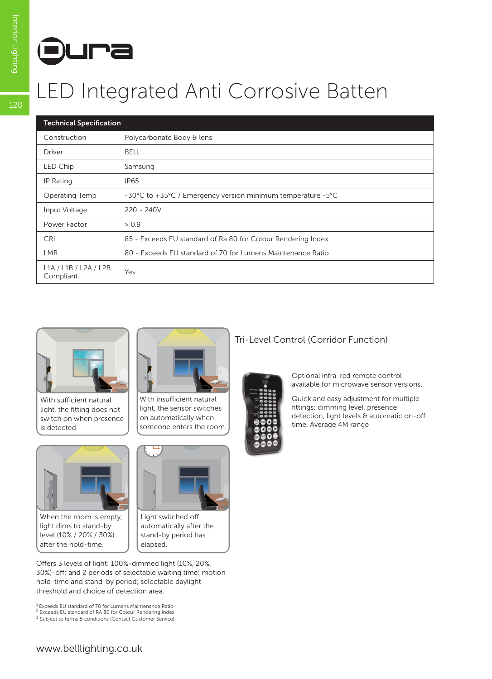

# References<br>
LED Integrated Anti Corrosive Batten

| <b>Technical Specification</b>     |                                                              |  |  |  |  |
|------------------------------------|--------------------------------------------------------------|--|--|--|--|
| Construction                       | Polycarbonate Body & lens                                    |  |  |  |  |
| Driver                             | <b>BELL</b>                                                  |  |  |  |  |
| LED Chip                           | Samsung                                                      |  |  |  |  |
| IP Rating                          | IP65                                                         |  |  |  |  |
| Operating Temp                     | -30°C to +35°C / Emergency version minimum temperature -5°C  |  |  |  |  |
| Input Voltage                      | $220 - 240V$                                                 |  |  |  |  |
| Power Factor                       | > 0.9                                                        |  |  |  |  |
| <b>CRI</b>                         | 85 - Exceeds EU standard of Ra 80 for Colour Rendering Index |  |  |  |  |
| LMR.                               | 80 - Exceeds EU standard of 70 for Lumens Maintenance Ratio  |  |  |  |  |
| L1A / L1B / L2A / L2B<br>Compliant | Yes                                                          |  |  |  |  |



With sufficient natural light, the fitting does not switch on when presence is detected.



When the room is empty, light dims to stand-by level (10% / 20% / 30%) after the hold-time.



With insufficient natural light, the sensor switches on automatically when someone enters the room.



Light switched off automatically after the stand-by period has elapsed.

Offers 3 levels of light: 100%-dimmed light (10%, 20%, 30%)-off; and 2 periods of selectable waiting time: motion hold-time and stand-by period; selectable daylight threshold and choice of detection area.

1 Exceeds EU standard of 70 for Lumens Maintenance Ratio

2 Exceeds EU standard of RA 80 for Colour Rendering Index <sup>3</sup> Subject to terms & conditions (Contact Customer Service)

#### Tri-Level Control (Corridor Function)

Optional infra-red remote control available for microwave sensor versions.

Quick and easy adjustment for multiple fittings; dimming level, presence detection, light levels & automatic on-off time. Average 4M range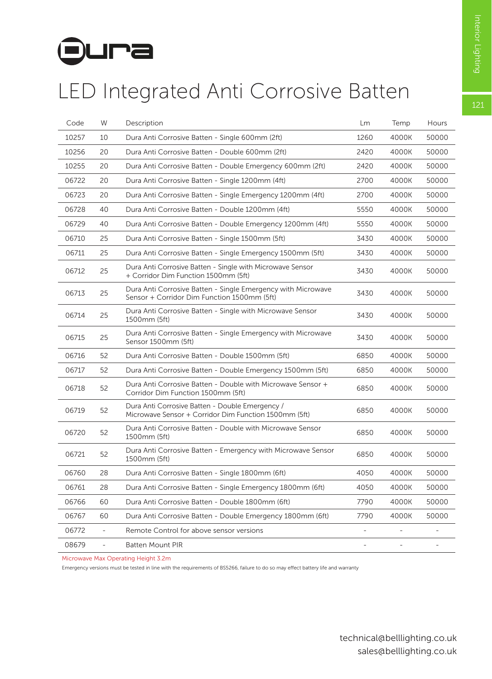# **Dura**

### LED Integrated Anti Corrosive Batten

| Code  | W                        | Description                                                                                                 | Lm   | Temp                     | Hours                    |
|-------|--------------------------|-------------------------------------------------------------------------------------------------------------|------|--------------------------|--------------------------|
| 10257 | 10                       | Dura Anti Corrosive Batten - Single 600mm (2ft)                                                             |      | 4000K                    | 50000                    |
| 10256 | 20                       | Dura Anti Corrosive Batten - Double 600mm (2ft)                                                             |      | 4000K                    | 50000                    |
| 10255 | 20                       | Dura Anti Corrosive Batten - Double Emergency 600mm (2ft)                                                   | 2420 | 4000K                    | 50000                    |
| 06722 | 20                       | Dura Anti Corrosive Batten - Single 1200mm (4ft)                                                            | 2700 | 4000K                    | 50000                    |
| 06723 | 20                       | Dura Anti Corrosive Batten - Single Emergency 1200mm (4ft)                                                  | 2700 | 4000K                    | 50000                    |
| 06728 | 40                       | Dura Anti Corrosive Batten - Double 1200mm (4ft)                                                            | 5550 | 4000K                    | 50000                    |
| 06729 | 40                       | Dura Anti Corrosive Batten - Double Emergency 1200mm (4ft)                                                  |      | 4000K                    | 50000                    |
| 06710 | 25                       | Dura Anti Corrosive Batten - Single 1500mm (5ft)                                                            | 3430 | 4000K                    | 50000                    |
| 06711 | 25                       | Dura Anti Corrosive Batten - Single Emergency 1500mm (5ft)                                                  | 3430 | 4000K                    | 50000                    |
| 06712 | 25                       | Dura Anti Corrosive Batten - Single with Microwave Sensor<br>+ Corridor Dim Function 1500mm (5ft)           | 3430 | 4000K                    | 50000                    |
| 06713 | 25                       | Dura Anti Corrosive Batten - Single Emergency with Microwave<br>Sensor + Corridor Dim Function 1500mm (5ft) | 3430 | 4000K                    | 50000                    |
| 06714 | 25                       | Dura Anti Corrosive Batten - Single with Microwave Sensor<br>1500mm (5ft)                                   | 3430 | 4000K                    | 50000                    |
| 06715 | 25                       | Dura Anti Corrosive Batten - Single Emergency with Microwave<br>Sensor 1500mm (5ft)                         | 3430 | 4000K                    | 50000                    |
| 06716 | 52                       | Dura Anti Corrosive Batten - Double 1500mm (5ft)                                                            | 6850 | 4000K                    | 50000                    |
| 06717 | 52                       | Dura Anti Corrosive Batten - Double Emergency 1500mm (5ft)                                                  | 6850 | 4000K                    | 50000                    |
| 06718 | 52                       | Dura Anti Corrosive Batten - Double with Microwave Sensor +<br>Corridor Dim Function 1500mm (5ft)           | 6850 | 4000K                    | 50000                    |
| 06719 | 52                       | Dura Anti Corrosive Batten - Double Emergency /<br>Microwave Sensor + Corridor Dim Function 1500mm (5ft)    | 6850 | 4000K                    | 50000                    |
| 06720 | 52                       | Dura Anti Corrosive Batten - Double with Microwave Sensor<br>1500mm (5ft)                                   | 6850 | 4000K                    | 50000                    |
| 06721 | 52                       | Dura Anti Corrosive Batten - Emergency with Microwave Sensor<br>1500mm (5ft)                                | 6850 | 4000K                    | 50000                    |
| 06760 | 28                       | Dura Anti Corrosive Batten - Single 1800mm (6ft)                                                            | 4050 | 4000K                    | 50000                    |
| 06761 | 28                       | Dura Anti Corrosive Batten - Single Emergency 1800mm (6ft)                                                  | 4050 | 4000K                    | 50000                    |
| 06766 | 60                       | Dura Anti Corrosive Batten - Double 1800mm (6ft)                                                            | 7790 | 4000K                    | 50000                    |
| 06767 | 60                       | Dura Anti Corrosive Batten - Double Emergency 1800mm (6ft)                                                  | 7790 | 4000K                    | 50000                    |
| 06772 | ÷,                       | Remote Control for above sensor versions                                                                    |      |                          |                          |
| 08679 | $\overline{\phantom{a}}$ | <b>Batten Mount PIR</b>                                                                                     |      | $\overline{\phantom{0}}$ | $\overline{\phantom{a}}$ |

Microwave Max Operating Height 3.2m

Emergency versions must be tested in line with the requirements of BS5266, failure to do so may effect battery life and warranty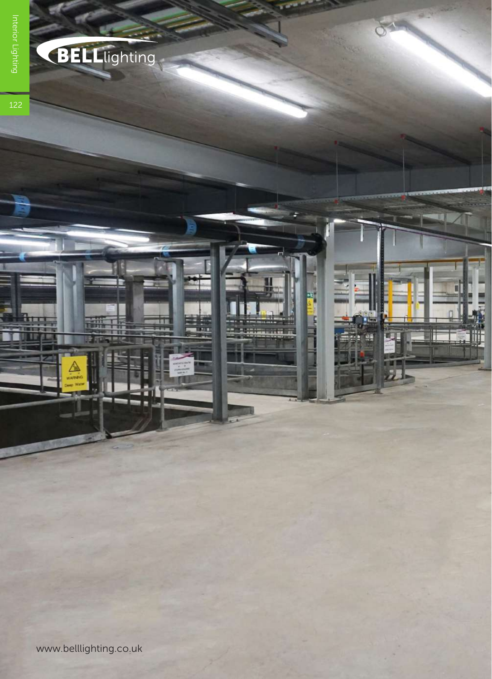